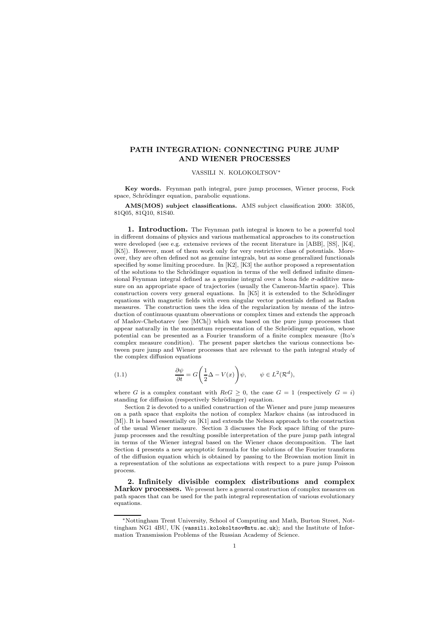# PATH INTEGRATION: CONNECTING PURE JUMP AND WIENER PROCESSES

VASSILI N. KOLOKOLTSOV<sup>∗</sup>

Key words. Feynman path integral, pure jump processes, Wiener process, Fock space, Schrödinger equation, parabolic equations.

AMS(MOS) subject classifications. AMS subject classification 2000: 35K05, 81Q05, 81Q10, 81S40.

1. Introduction. The Feynman path integral is known to be a powerful tool in different domains of physics and various mathematical approaches to its construction were developed (see e.g. extensive reviews of the recent literature in [ABB], [SS], [K4], [K5]). However, most of them work only for very restrictive class of potentials. Moreover, they are often defined not as genuine integrals, but as some generalized functionals specified by some limiting procedure. In [K2], [K3] the author proposed a representation of the solutions to the Schrödinger equation in terms of the well defined infinite dimensional Feynman integral defined as a genuine integral over a bona fide  $\sigma$ -additive measure on an appropriate space of trajectories (usually the Cameron-Martin space). This construction covers very general equations. In  $[K5]$  it is extended to the Schrödinger equations with magnetic fields with even singular vector potentials defined as Radon measures. The construction uses the idea of the regularization by means of the introduction of continuous quantum observations or complex times and extends the approach of Maslov-Chebotarev (see [MCh]) which was based on the pure jump processes that appear naturally in the momentum representation of the Schrödinger equation, whose potential can be presented as a Fourier transform of a finite complex measure (Ito's complex measure condition). The present paper sketches the various connections between pure jump and Wiener processes that are relevant to the path integral study of the complex diffusion equations

(1.1) 
$$
\frac{\partial \psi}{\partial t} = G\left(\frac{1}{2}\Delta - V(x)\right)\psi, \qquad \psi \in L^2(\mathcal{R}^d),
$$

where G is a complex constant with  $ReG \geq 0$ , the case  $G = 1$  (respectively  $G = i$ ) standing for diffusion (respectively Schrödinger) equation.

Section 2 is devoted to a unified construction of the Wiener and pure jump measures on a path space that exploits the notion of complex Markov chains (as introduced in [M]). It is based essentially on [K1] and extends the Nelson approach to the construction of the usual Wiener measure. Section 3 discusses the Fock space lifting of the purejump processes and the resulting possible interpretation of the pure jump path integral in terms of the Wiener integral based on the Wiener chaos decomposition. The last Section 4 presents a new asymptotic formula for the solutions of the Fourier transform of the diffusion equation which is obtained by passing to the Brownian motion limit in a representation of the solutions as expectations with respect to a pure jump Poisson process.

2. Infinitely divisible complex distributions and complex Markov processes. We present here a general construction of complex measures on path spaces that can be used for the path integral representation of various evolutionary equations.

<sup>∗</sup>Nottingham Trent University, School of Computing and Math, Burton Street, Nottingham NG1 4BU, UK (vassili.kolokoltsov@ntu.ac.uk); and the Institute of Information Transmission Problems of the Russian Academy of Science.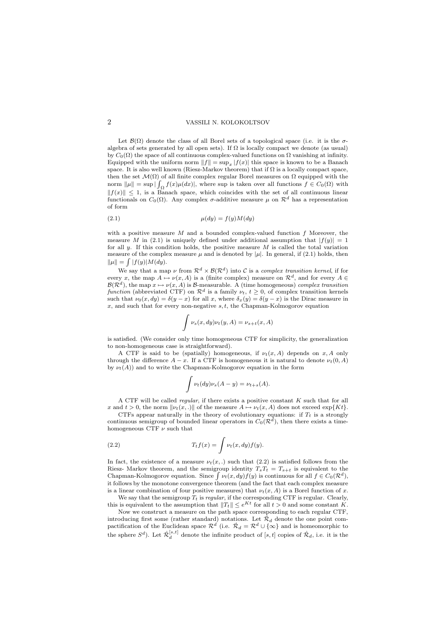Let  $\mathcal{B}(\Omega)$  denote the class of all Borel sets of a topological space (i.e. it is the  $\sigma$ algebra of sets generated by all open sets). If  $\Omega$  is locally compact we denote (as usual) by C0(Ω) the space of all continuous complex-valued functions on Ω vanishing at infinity. Equipped with the uniform norm  $||f|| = \sup_x |f(x)|$  this space is known to be a Banach space. It is also well known (Riesz-Markov theorem) that if  $\Omega$  is a locally compact space, then the set  $\mathcal{M}(\Omega)$  of all finite complex regular Borel measures on  $\Omega$  equipped with the norm  $||\mu|| = \sup |\int_{\Omega} f(x)\mu(dx)|$ , where sup is taken over all functions  $f \in C_0(\Omega)$  with  $||f(x)|| \leq 1$ , is a Banach space, which coincides with the set of all continuous linear functionals on  $C_0(\Omega)$ . Any complex  $\sigma$ -additive measure  $\mu$  on  $\mathcal{R}^d$  has a representation of form

$$
\mu(dy) = f(y)M(dy)
$$

with a positive measure M and a bounded complex-valued function f Moreover, the measure M in (2.1) is uniquely defined under additional assumption that  $|f(y)| = 1$ for all  $y$ . If this condition holds, the positive measure  $M$  is called the total variation measure of the complex measure  $\mu$  and is denoted by  $|\mu|$ . In general, if (2.1) holds, then  $\|\mu\| = \int |f(y)| M(dy).$ 

We say that a map  $\nu$  from  $\mathcal{R}^d \times \mathcal{B}(\mathcal{R}^d)$  into C is a complex transition kernel, if for every x, the map  $A \mapsto \nu(x, A)$  is a (finite complex) measure on  $\mathcal{R}^d$ , and for every  $A \in$  $\mathcal{B}(\mathcal{R}^d)$ , the map  $x \mapsto \nu(x, A)$  is B-measurable. A (time homogeneous) complex transition function (abbreviated CTF) on  $\mathcal{R}^d$  is a family  $v_t$ ,  $t \geq 0$ , of complex transition kernels such that  $\nu_0(x, dy) = \delta(y - x)$  for all x, where  $\delta_x(y) = \delta(y - x)$  is the Dirac measure in  $x$ , and such that for every non-negative  $s, t$ , the Chapman-Kolmogorov equation

$$
\int \nu_s(x, dy)\nu_t(y, A) = \nu_{s+t}(x, A)
$$

is satisfied. (We consider only time homogeneous CTF for simplicity, the generalization to non-homogeneous case is straightforward).

A CTF is said to be (spatially) homogeneous, if  $\nu_t(x, A)$  depends on x, A only through the difference  $A - x$ . If a CTF is homogeneous it is natural to denote  $\nu_t(0, A)$ by  $\nu_t(A)$  and to write the Chapman-Kolmogorov equation in the form

$$
\int \nu_t(dy)\nu_s(A-y)=\nu_{t+s}(A).
$$

A CTF will be called *regular*, if there exists a positive constant  $K$  such that for all x and  $t > 0$ , the norm  $\|\nu_t(x,.)\|$  of the measure  $A \mapsto \nu_t(x, A)$  does not exceed  $\exp\{Kt\}.$ 

CTFs appear naturally in the theory of evolutionary equations: if  $T_t$  is a strongly continuous semigroup of bounded linear operators in  $C_0(\mathcal{R}^d)$ , then there exists a timehomogeneous CTF  $\nu$  such that

(2.2) 
$$
T_t f(x) = \int \nu_t(x, dy) f(y).
$$

In fact, the existence of a measure  $\nu_t(x,.)$  such that (2.2) is satisfied follows from the Riesz- Markov theorem, and the semigroup identity  $T_sT_t = T_{s+t}$  is equivalent to the Chapman-Kolmogorov equation. Since  $\int \nu_t(x, dy) f(y)$  is continuous for all  $f \in C_0(\mathcal{R}^d)$ , it follows by the monotone convergence theorem (and the fact that each complex measure is a linear combination of four positive measures) that  $\nu_t(x, A)$  is a Borel function of x.

We say that the semigroup  $T_t$  is regular, if the corresponding CTF is regular. Clearly, this is equivalent to the assumption that  $||T_t|| \leq e^{Kt}$  for all  $t > 0$  and some constant K.

Now we construct a measure on the path space corresponding to each regular CTF, introducing first some (rather standard) notations. Let  $\mathcal{R}_d$  denote the one point compactification of the Euclidean space  $\mathcal{R}^d$  (i.e.  $\mathcal{R}_d = \mathcal{R}^d \cup \{\infty\}$  and is homeomorphic to the sphere  $S^d$ ). Let  $\dot{\mathcal{R}}_d^{[s,t]}$  denote the infinite product of  $[s,t]$  copies of  $\dot{\mathcal{R}}_d$ , i.e. it is the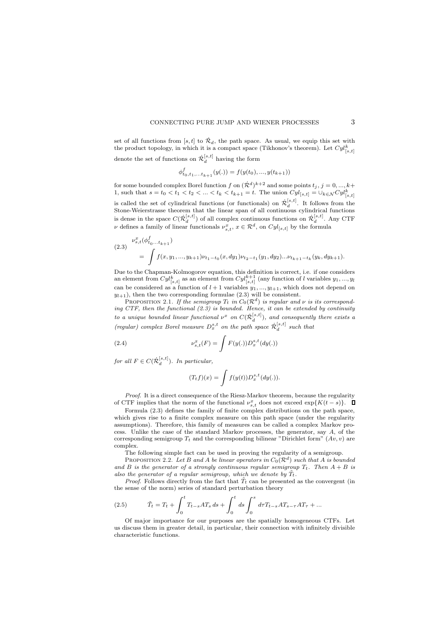set of all functions from [s, t] to  $\dot{\mathcal{R}}_d$ , the path space. As usual, we equip this set with the product topology, in which it is a compact space (Tikhonov's theorem). Let  $Cyl^k_{[s,t]}$ denote the set of functions on  $\mathcal{R}_d^{[s,t]}$  having the form

$$
\phi_{t_0,t_1,...t_{k+1}}^f(y(.)) = f(y(t_0),...,y(t_{k+1}))
$$

for some bounded complex Borel function f on  $(\dot{\mathcal{R}}^d)^{k+2}$  and some points  $t_j$ ,  $j = 0, ..., k+1$ 1, such that  $s = t_0 < t_1 < t_2 < ... < t_k < t_{k+1} = t$ . The union  $Cyl_{[s,t]} = \cup_{k \in \mathcal{N}} Cyl_{[s,t]}^k$ is called the set of cylindrical functions (or functionals) on  $\mathcal{R}_d^{[s,t]}$ . It follows from the Stone-Weierstrasse theorem that the linear span of all continuous cylindrical functions is dense in the space  $C(\dot{\mathcal{R}}_d^{[s,t]})$  of all complex continuous functions on  $\dot{\mathcal{R}}_d^{[s,t]}$ . Any CTF  $\nu$  defines a family of linear functionals  $\nu_{s,t}^x$ ,  $x \in \mathcal{R}^d$ , on  $Cyl_{[s,t]}$  by the formula

$$
(2.3) \quad \begin{aligned} \nu_{s,t}^x(\phi_{t_0...t_{k+1}}^f) \\ &= \int f(x,y_1,...,y_{k+1}) \nu_{t_1-t_0}(x,dy_1) \nu_{t_2-t_1}(y_1,dy_2)...\nu_{t_{k+1}-t_k}(y_k,dy_{k+1}). \end{aligned}
$$

Due to the Chapman-Kolmogorov equation, this definition is correct, i.e. if one considers an element from  $Cyl_{[s,t]}^k$  as an element from  $Cyl_{[s,t]}^{k+1}$  (any function of l variables  $y_1, ..., y_l$ can be considered as a function of  $l + 1$  variables  $y_1, ..., y_{l+1}$ , which does not depend on  $y_{l+1}$ , then the two corresponding formulae (2.3) will be consistent.

PROPOSITION 2.1. If the semigroup  $T_t$  in  $C_0(\mathcal{R}^d)$  is regular and  $\nu$  is its corresponding CTF, then the functional (2.3) is bounded. Hence, it can be extended by continuity to a unique bounded linear functional  $\nu^x$  on  $C(\dot{\mathcal{R}}_d^{[s,t]})$ , and consequently there exists a (regular) complex Borel measure  $D_x^{s,t}$  on the path space  $\mathcal{R}_d^{[s,t]}$  such that

(2.4) 
$$
\nu_{s,t}^x(F) = \int F(y(.)) D_x^{s,t}(dy(.))
$$

for all  $F \in C(\dot{\mathcal{R}}_d^{[s,t]})$ . In particular,

$$
(T_t f)(x) = \int f(y(t)) D_x^{s,t}(dy(.)).
$$

Proof. It is a direct consequence of the Riesz-Markov theorem, because the regularity of CTF implies that the norm of the functional  $\nu_{s,t}^x$  does not exceed  $\exp\{K(t-s)\}.$ 

Formula (2.3) defines the family of finite complex distributions on the path space, which gives rise to a finite complex measure on this path space (under the regularity assumptions). Therefore, this family of measures can be called a complex Markov process. Unlike the case of the standard Markov processes, the generator, say A, of the corresponding semigroup  $T_t$  and the corresponding bilinear "Dirichlet form"  $(Av, v)$  are complex.

The following simple fact can be used in proving the regularity of a semigroup.

PROPOSITION 2.2. Let B and A be linear operators in  $C_0(\mathcal{R}^d)$  such that A is bounded and B is the generator of a strongly continuous regular semigroup  $T_t$ . Then  $A + B$  is also the generator of a regular semigroup, which we denote by  $\tilde{T}_t$ .

*Proof.* Follows directly from the fact that  $\tilde{T}_t$  can be presented as the convergent (in the sense of the norm) series of standard perturbation theory

(2.5) 
$$
\tilde{T}_t = T_t + \int_0^t T_{t-s} A T_s ds + \int_0^t ds \int_0^s d\tau T_{t-s} A T_{s-\tau} A T_{\tau} + ...
$$

Of major importance for our purposes are the spatially homogeneous CTFs. Let us discuss them in greater detail, in particular, their connection with infinitely divisible characteristic functions.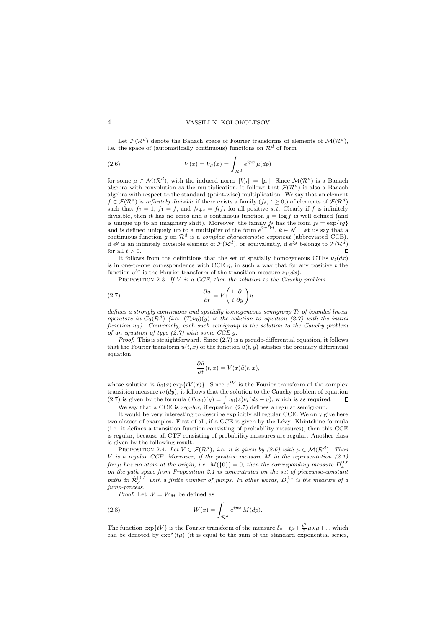Let  $\mathcal{F}(\mathcal{R}^d)$  denote the Banach space of Fourier transforms of elements of  $\mathcal{M}(\mathcal{R}^d)$ , i.e. the space of (automatically continuous) functions on  $\mathcal{R}^d$  of form

(2.6) 
$$
V(x) = V_{\mu}(x) = \int_{\mathcal{R}^d} e^{ipx} \mu(dp)
$$

for some  $\mu \in \mathcal{M}(\mathcal{R}^d)$ , with the induced norm  $||V_\mu|| = ||\mu||$ . Since  $\mathcal{M}(\mathcal{R}^d)$  is a Banach algebra with convolution as the multiplication, it follows that  $\mathcal{F}(\mathcal{R}^d)$  is also a Banach algebra with respect to the standard (point-wise) multiplication. We say that an element  $f \in \mathcal{F}(\mathcal{R}^d)$  is *infinitely divisible* if there exists a family  $(f_t, t \ge 0)$ , of elements of  $\mathcal{F}(\mathcal{R}^d)$ such that  $f_0 = 1$ ,  $f_1 = f$ , and  $f_{t+s} = f_t f_s$  for all positive s,t. Clearly if f is infinitely divisible, then it has no zeros and a continuous function  $g = \log f$  is well defined (and is unique up to an imaginary shift). Moreover, the family  $f_t$  has the form  $f_t = \exp\{tg\}$ and is defined uniquely up to a multiplier of the form  $e^{2\pi ikt}$ ,  $k \in \mathcal{N}$ . Let us say that a continuous function g on  $\mathcal{R}^d$  is a *complex characteristic exponent* (abbreviated CCE), if  $e^g$  is an infinitely divisible element of  $\mathcal{F}(\mathcal{R}^d)$ , or equivalently, if  $e^{tg}$  belongs to  $\mathcal{F}(\mathcal{R}^d)$ for all  $t > 0$ .

It follows from the definitions that the set of spatially homogeneous CTFs  $\nu_t(dx)$ is in one-to-one correspondence with CCE  $g$ , in such a way that for any positive  $t$  the function  $e^{tg}$  is the Fourier transform of the transition measure  $\nu_t(dx)$ .

PROPOSITION 2.3. If  $V$  is a CCE, then the solution to the Cauchy problem

(2.7) 
$$
\frac{\partial u}{\partial t} = V \left( \frac{1}{i} \frac{\partial}{\partial y} \right) u
$$

defines a strongly continuous and spatially homogeneous semigroup  $T_t$  of bounded linear operators in  $C_0(\mathcal{R}^d)$  (i.e.  $(T_t u_0)(y)$  is the solution to equation (2.7) with the initial function  $u_0$ ). Conversely, each such semigroup is the solution to the Cauchy problem of an equation of type  $(2.7)$  with some CCE q.

*Proof.* This is straightforward. Since  $(2.7)$  is a pseudo-differential equation, it follows that the Fourier transform  $\tilde{u}(t, x)$  of the function  $u(t, y)$  satisfies the ordinary differential equation

$$
\frac{\partial \tilde{u}}{\partial t}(t, x) = V(x)\tilde{u}(t, x),
$$

whose solution is  $\tilde{u}_0(x) \exp\{tV(x)\}$ . Since  $e^{tV}$  is the Fourier transform of the complex transition measure  $\nu_t(dy)$ , it follows that the solution to the Cauchy problem of equation (2.7) is given by the formula  $(T_t u_0)(y) = \int u_0(z) \nu_t(dz - y)$ , which is as required.  $\mathbf{\mathsf{u}}$ 

We say that a CCE is *regular*, if equation (2.7) defines a regular semigroup.

It would be very interesting to describe explicitly all regular CCE. We only give here two classes of examples. First of all, if a CCE is given by the Lévy- Khintchine formula (i.e. it defines a transition function consisting of probability measures), then this CCE is regular, because all CTF consisting of probability measures are regular. Another class is given by the following result.

PROPOSITION 2.4. Let  $V \in \mathcal{F}(\mathcal{R}^d)$ , i.e. it is given by (2.6) with  $\mu \in \mathcal{M}(\mathcal{R}^d)$ . Then V is a regular CCE. Moreover, if the positive measure  $\dot{M}$  in the representation (2.1) for  $\mu$  has no atom at the origin, i.e.  $M({0}) = 0$ , then the corresponding measure  $D_x^{0,t}$  on the path space from Proposition 2.1 is concentrated on the set of piecewise-constant paths in  $\mathcal{R}_d^{[0,t]}$  with a finite number of jumps. In other words,  $D_x^{0,t}$  is the measure of a jump-process.

*Proof.* Let  $W = W_M$  be defined as

(2.8) 
$$
W(x) = \int_{\mathcal{R}^d} e^{ipx} M(dp).
$$

The function  $\exp\{tV\}$  is the Fourier transform of the measure  $\delta_0 + t\mu + \frac{t^2}{2}$  $\frac{1}{2}\mu\star\mu+\dots$  which can be denoted by  $\exp^*(t\mu)$  (it is equal to the sum of the standard exponential series,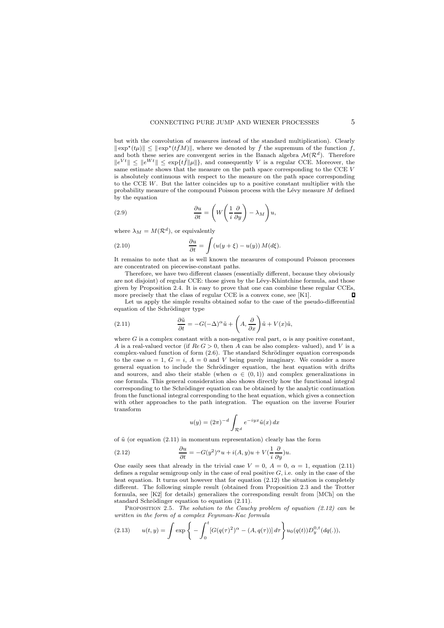but with the convolution of measures instead of the standard multiplication). Clearly  $\|\exp^{\star}(t\mu)\| \leq \|\exp^{\star}(t\bar{f}M)\|$ , where we denoted by  $\bar{f}$  the supremum of the function f, and both these series are convergent series in the Banach algebra  $\mathcal{M}(\mathcal{R}^d)$ . Therefore  $||e^{Vt}|| \leq ||e^{Wt}|| \leq \exp\{t\bar{f}||\mu||\}$ , and consequently V is a regular CCE. Moreover, the same estimate shows that the measure on the path space corresponding to the CCE V is absolutely continuous with respect to the measure on the path space corresponding to the CCE W. But the latter coincides up to a positive constant multiplier with the probability measure of the compound Poisson process with the Lévy measure  $M$  defined by the equation

(2.9) 
$$
\frac{\partial u}{\partial t} = \left( W \left( \frac{1}{i} \frac{\partial}{\partial y} \right) - \lambda_M \right) u,
$$

where  $\lambda_M = M(\mathcal{R}^d)$ , or equivalently

(2.10) 
$$
\frac{\partial u}{\partial t} = \int (u(y + \xi) - u(y)) M(d\xi).
$$

It remains to note that as is well known the measures of compound Poisson processes are concentrated on piecewise-constant paths.

Therefore, we have two different classes (essentially different, because they obviously are not disjoint) of regular CCE: those given by the Lévy-Khintchine formula, and those given by Proposition 2.4. It is easy to prove that one can combine these regular CCEs, more precisely that the class of regular CCE is a convex cone, see [K1]. П

Let us apply the simple results obtained sofar to the case of the pseudo-differential equation of the Schrödinger type

(2.11) 
$$
\frac{\partial \tilde{u}}{\partial t} = -G(-\Delta)^{\alpha} \tilde{u} + \left(A, \frac{\partial}{\partial x}\right) \tilde{u} + V(x)\tilde{u},
$$

where G is a complex constant with a non-negative real part,  $\alpha$  is any positive constant, A is a real-valued vector (if  $Re\ G > 0$ , then A can be also complex- valued), and V is a complex-valued function of form  $(2.6)$ . The standard Schrödinger equation corresponds to the case  $\alpha = 1, G = i, A = 0$  and V being purely imaginary. We consider a more general equation to include the Schrödinger equation, the heat equation with drifts and sources, and also their stable (when  $\alpha \in (0,1)$ ) and complex generalizations in one formula. This general consideration also shows directly how the functional integral corresponding to the Schrödinger equation can be obtained by the analytic continuation from the functional integral corresponding to the heat equation, which gives a connection with other approaches to the path integration. The equation on the inverse Fourier transform

$$
u(y) = (2\pi)^{-d} \int_{\mathcal{R}^d} e^{-iyx} \tilde{u}(x) dx
$$

of  $\tilde{u}$  (or equation (2.11) in momentum representation) clearly has the form

(2.12) 
$$
\frac{\partial u}{\partial t} = -G(y^2)^{\alpha} u + i(A, y)u + V(\frac{1}{i}\frac{\partial}{\partial y})u.
$$

One easily sees that already in the trivial case  $V = 0$ ,  $A = 0$ ,  $\alpha = 1$ , equation (2.11) defines a regular semigroup only in the case of real positive  $G$ , i.e. only in the case of the heat equation. It turns out however that for equation (2.12) the situation is completely different. The following simple result (obtained from Proposition 2.3 and the Trotter formula, see [K2] for details) generalizes the corresponding result from [MCh] on the standard Schrödinger equation to equation (2.11).

PROPOSITION 2.5. The solution to the Cauchy problem of equation  $(2.12)$  can be written in the form of a complex Feynman-Kac formula

(2.13) 
$$
u(t,y) = \int \exp \left\{ - \int_0^t \left[ G(q(\tau)^2)^\alpha - (A,q(\tau)) \right] d\tau \right\} u_0(q(t)) D_y^{0,t}(dq(.)),
$$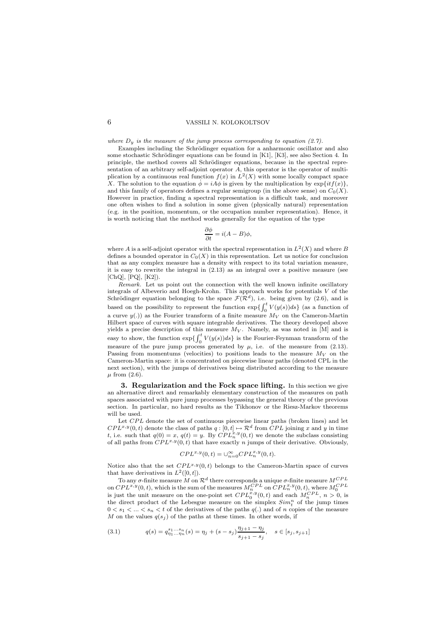#### where  $D_y$  is the measure of the jump process corresponding to equation (2.7).

Examples including the Schrödinger equation for a anharmonic oscillator and also some stochastic Schrödinger equations can be found in  $[K1]$ ,  $[K3]$ , see also Section 4. In principle, the method covers all Schrödinger equations, because in the spectral representation of an arbitrary self-adjoint operator A, this operator is the operator of multiplication by a continuous real function  $f(x)$  in  $L^2(X)$  with some locally compact space X. The solution to the equation  $\dot{\phi} = iA\phi$  is given by the multiplication by  $\exp\{itf(x)\}\$ , and this family of operators defines a regular semigroup (in the above sense) on  $C_0(X)$ . However in practice, finding a spectral representation is a difficult task, and moreover one often wishes to find a solution in some given (physically natural) representation (e.g. in the position, momentum, or the occupation number representation). Hence, it is worth noticing that the method works generally for the equation of the type

$$
\frac{\partial \phi}{\partial t} = i(A - B)\phi,
$$

where A is a self-adjoint operator with the spectral representation in  $L^2(X)$  and where B defines a bounded operator in  $C_0(X)$  in this representation. Let us notice for conclusion that as any complex measure has a density with respect to its total variation measure, it is easy to rewrite the integral in (2.13) as an integral over a positive measure (see [ChQ], [PQ], [K2]).

Remark. Let us point out the connection with the well known infinite oscillatory integrals of Albeverio and Hoegh-Krohn. This approach works for potentials V of the Schrödinger equation belonging to the space  $\mathcal{F}(\mathcal{R}^d)$ , i.e. being given by (2.6), and is based on the possibility to represent the function  $\exp\{\int_0^t V(y(s))ds\}$  (as a function of a curve  $y(.)$  as the Fourier transform of a finite measure  $M_V$  on the Cameron-Martin Hilbert space of curves with square integrable derivatives. The theory developed above yields a precise description of this measure  $M_V$ . Namely, as was noted in [M] and is easy to show, the function  $\exp\{\int_0^t V(y(s))ds\}$  is the Fourier-Feynman transform of the measure of the pure jump process generated by  $\mu$ , i.e. of the measure from (2.13). Passing from momentums (velocities) to positions leads to the measure  $M_V$  on the Cameron-Martin space: it is concentrated on piecewise linear paths (denoted CPL in the next section), with the jumps of derivatives being distributed according to the measure  $\mu$  from (2.6).

3. Regularization and the Fock space lifting. In this section we give an alternative direct and remarkably elementary construction of the measures on path spaces associated with pure jump processes bypassing the general theory of the previous section. In particular, no hard results as the Tikhonov or the Riesz-Markov theorems will be used.

Let  $CPL$  denote the set of continuous piecewise linear paths (broken lines) and let  $CPL^{x,y}(0,t)$  denote the class of paths  $q: [0,t] \mapsto \mathcal{R}^d$  from  $CPL$  joining x and y in time t, i.e. such that  $q(0) = x$ ,  $q(t) = y$ . By  $\overline{CPL}_n^{\dot{x},y}(0,t)$  we denote the subclass consisting of all paths from  $CPL^{x,y}(0,t)$  that have exactly n jumps of their derivative. Obviously,

$$
CPL^{x,y}(0,t) = \bigcup_{n=0}^{\infty} CPL_n^{x,y}(0,t).
$$

Notice also that the set  $CPL^{x,y}(0,t)$  belongs to the Cameron-Martin space of curves that have derivatives in  $L^2([0,t])$ .

To any  $\sigma$ -finite measure M on  $\mathcal{R}^d$  there corresponds a unique  $\sigma$ -finite measure  $M^{CPL}$ on  $CPL^{x,y}(0,t)$ , which is the sum of the measures  $M_n^{CPL}$  on  $\tilde{CPL}_n^{x,y}(0,t)$ , where  $M_0^{CPL}$ <br>is just the unit measure on the one-point set  $CPL_0^{x,y}(0,t)$  and each  $M_n^{CPL}$ ,  $n > 0$ , is the direct product of the Lebesgue measure on the simplex  $Sim_t^n$  of the jump times  $0 < s_1 < \ldots < s_n < t$  of the derivatives of the paths  $q(.)$  and of n copies of the measure M on the values  $q(s_j)$  of the paths at these times. In other words, if

(3.1) 
$$
q(s) = q_{\eta_1...\eta_n}^{s_1...s_n}(s) = \eta_j + (s - s_j) \frac{\eta_{j+1} - \eta_j}{s_{j+1} - s_j}, \quad s \in [s_j, s_{j+1}]
$$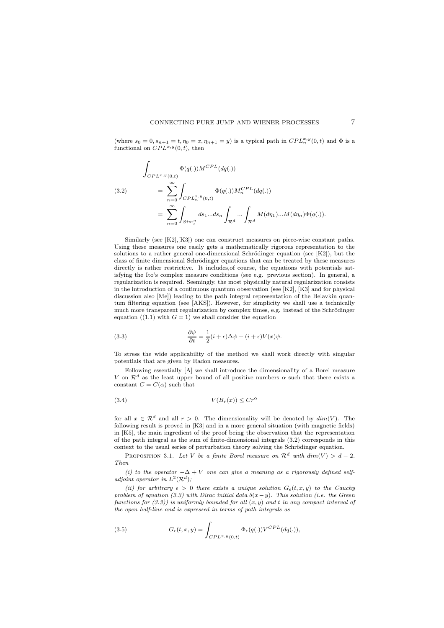(where  $s_0 = 0, s_{n+1} = t, \eta_0 = x, \eta_{n+1} = y$ ) is a typical path in  $CPL_n^{x,y}(0, t)$  and  $\Phi$  is a functional on  $CPL^{x,y}(0,t)$ , then

$$
\int_{CPL^{x,y}(0,t)} \Phi(q(.))M^{CPL}(dq(.))
$$
\n
$$
(3.2) \qquad = \sum_{n=0}^{\infty} \int_{CPL^{x,y}_n(0,t)} \Phi(q(.))M^{CPL}_n(dq(.))
$$
\n
$$
= \sum_{n=0}^{\infty} \int_{Sim_t^n} ds_1...ds_n \int_{\mathcal{R}^d} \cdots \int_{\mathcal{R}^d} M(d\eta_1)...M(d\eta_n) \Phi(q(.)).
$$

Similarly (see [K2],[K3]) one can construct measures on piece-wise constant paths. Using these measures one easily gets a mathematically rigorous representation to the solutions to a rather general one-dimensional Schrödinger equation (see  $[K2]$ ), but the class of finite dimensional Schrödinger equations that can be treated by these measures directly is rather restrictive. It includes, of course, the equations with potentials satisfying the Ito's complex measure conditions (see e.g. previous section). In general, a regularization is required. Seemingly, the most physically natural regularization consists in the introduction of a continuous quantum observation (see [K2], [K3] and for physical discussion also [Me]) leading to the path integral representation of the Belavkin quantum filtering equation (see [AKS]). However, for simplicity we shall use a technically much more transparent regularization by complex times, e.g. instead of the Schrödinger equation ((1.1) with  $G = 1$ ) we shall consider the equation

(3.3) 
$$
\frac{\partial \psi}{\partial t} = \frac{1}{2} (i + \epsilon) \Delta \psi - (i + \epsilon) V(x) \psi.
$$

To stress the wide applicability of the method we shall work directly with singular potentials that are given by Radon measures.

Following essentially [A] we shall introduce the dimensionality of a Borel measure V on  $\mathcal{R}^d$  as the least upper bound of all positive numbers  $\alpha$  such that there exists a constant  $C = C(\alpha)$  such that

$$
(3.4) \t\t V(B_r(x)) \le Cr^{\alpha}
$$

for all  $x \in \mathcal{R}^d$  and all  $r > 0$ . The dimensionality will be denoted by  $dim(V)$ . The following result is proved in [K3] and in a more general situation (with magnetic fields) in [K5], the main ingredient of the proof being the observation that the representation of the path integral as the sum of finite-dimensional integrals (3.2) corresponds in this context to the usual series of perturbation theory solving the Schrödinger equation.

PROPOSITION 3.1. Let V be a finite Borel measure on  $\mathcal{R}^d$  with  $dim(V) > d-2$ . Then

(i) to the operator  $-\Delta + V$  one can give a meaning as a rigorously defined selfadjoint operator in  $L^2(\mathcal{R}^d)$ ;

(ii) for arbitrary  $\epsilon > 0$  there exists a unique solution  $G_{\epsilon}(t, x, y)$  to the Cauchy problem of equation (3.3) with Dirac initial data  $\delta(x-y)$ . This solution (i.e. the Green functions for  $(3.3)$  is uniformly bounded for all  $(x, y)$  and t in any compact interval of the open half-line and is expressed in terms of path integrals as

(3.5) 
$$
G_{\epsilon}(t,x,y) = \int_{CPL^{x,y}(0,t)} \Phi_{\epsilon}(q(.)) V^{CPL}(dq(.)),
$$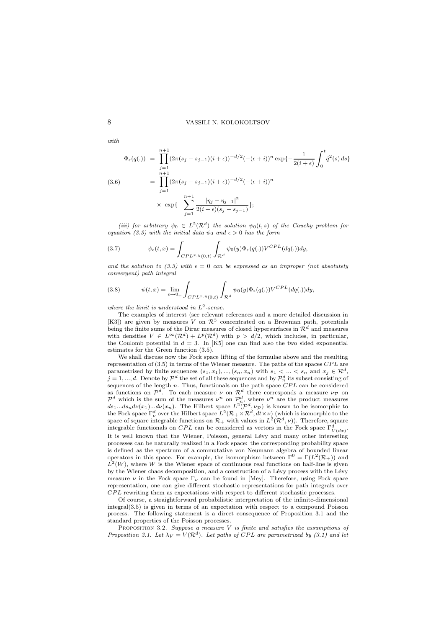with

$$
\Phi_{\epsilon}(q(.)) = \prod_{\substack{j=1 \ j=1}}^{n+1} (2\pi(s_j - s_{j-1})(i+\epsilon))^{-d/2} (-(\epsilon + i))^n \exp\{-\frac{1}{2(i+\epsilon)} \int_0^t \dot{q}^2(s) ds\}
$$
\n
$$
= \prod_{j=1}^{n+1} (2\pi(s_j - s_{j-1})(i+\epsilon))^{-d/2} (-(\epsilon + i))^n
$$
\n
$$
\times \exp\{-\sum_{j=1}^{n+1} \frac{|\eta_j - \eta_{j-1}|^2}{2(i+\epsilon)(s_j - s_{j-1})}\};
$$

(iii) for arbitrary  $\psi_0 \in L^2(\mathbb{R}^d)$  the solution  $\psi_0(t, s)$  of the Cauchy problem for equation (3.3) with the initial data  $\psi_0$  and  $\epsilon > 0$  has the form

(3.7) 
$$
\psi_{\epsilon}(t,x) = \int_{CPL^{x,y}(0,t)} \int_{\mathcal{R}^d} \psi_0(y) \Phi_{\epsilon}(q(.)) V^{CPL}(dq(.)) dy,
$$

and the solution to (3.3) with  $\epsilon = 0$  can be expressed as an improper (not absolutely convergent) path integral

(3.8) 
$$
\psi(t,x) = \lim_{\epsilon \to 0+} \int_{CPL^{x,y}(0,t)} \int_{\mathcal{R}^d} \psi_0(y) \Phi_{\epsilon}(q(.)) V^{CPL}(dq(.)) dy,
$$

where the limit is understood in  $L^2$ -sense.

The examples of interest (see relevant references and a more detailed discussion in [K3]) are given by measures V on  $\mathcal{R}^3$  concentrated on a Brownian path, potentials being the finite sums of the Dirac measures of closed hypersurfaces in  $\mathcal{R}^d$  and measures with densities  $V \in L^{\infty}(\mathcal{R}^d) + L^p(\mathcal{R}^d)$  with  $p > d/2$ , which includes, in particular, the Coulomb potential in  $d = 3$ . In [K5] one can find also the two sided exponential estimates for the Green function (3.5).

We shall discuss now the Fock space lifting of the formulae above and the resulting representation of  $(3.5)$  in terms of the Wiener measure. The paths of the spaces  $CPL$  are parametrised by finite sequences  $(s_1, x_1), ..., (s_n, x_n)$  with  $s_1 < ... < s_n$  and  $x_j \in \mathbb{R}^d$ ,  $j = 1, ..., d$ . Denote by  $\mathcal{P}^d$  the set of all these sequences and by  $\mathcal{P}_n^d$  its subset consisting of sequences of the length  $n$ . Thus, functionals on the path space  $CPL$  can be considered as functions on  $\mathcal{P}^d$ . To each measure  $\nu$  on  $\mathcal{R}^d$  there corresponds a measure  $\nu_{\mathcal{P}}$  on  $\mathcal{P}^d$  which is the sum of the measures  $\nu^n$  on  $\mathcal{P}^d_n$ , where  $\nu^n$  are the product measures  $ds_1...ds_nd\nu(x_1)...d\nu(x_n)$ . The Hilbert space  $L^2(\mathcal{P}^d,\nu_{\mathcal{P}})$  is known to be isomorphic to the Fock space  $\Gamma^d_\nu$  over the Hilbert space  $L^2(\mathcal{R}_+\times\mathcal{R}^d,dt\times\nu)$  (which is isomorphic to the space of square integrable functions on  $\mathcal{R}_+$  with values in  $L^2(\mathcal{R}^d,\nu)$ ). Therefore, square integrable functionals on  $CPL$  can be considered as vectors in the Fock space  $\Gamma^d_{V(dx)}$ . It is well known that the Wiener, Poisson, general Lévy and many other interesting processes can be naturally realized in a Fock space: the corresponding probability space is defined as the spectrum of a commutative von Neumann algebra of bounded linear operators in this space. For example, the isomorphism between  $\Gamma^0 = \Gamma(L^2(\mathcal{R}_+))$  and  $L^2(W)$ , where W is the Wiener space of continuous real functions on half-line is given by the Wiener chaos decomposition, and a construction of a Lévy process with the Lévy measure  $\nu$  in the Fock space  $\Gamma_{\nu}$  can be found in [Mey]. Therefore, using Fock space representation, one can give different stochastic representations for path integrals over  $CPL$  rewriting them as expectations with respect to different stochastic processes.

Of course, a straightforward probabilistic interpretation of the infinite-dimensional integral(3.5) is given in terms of an expectation with respect to a compound Poisson process. The following statement is a direct consequence of Proposition 3.1 and the standard properties of the Poisson processes.

PROPOSITION 3.2. Suppose a measure  $V$  is finite and satisfies the assumptions of Proposition 3.1. Let  $\lambda_V = V(\mathcal{R}^d)$ . Let paths of CPL are parametrized by (3.1) and let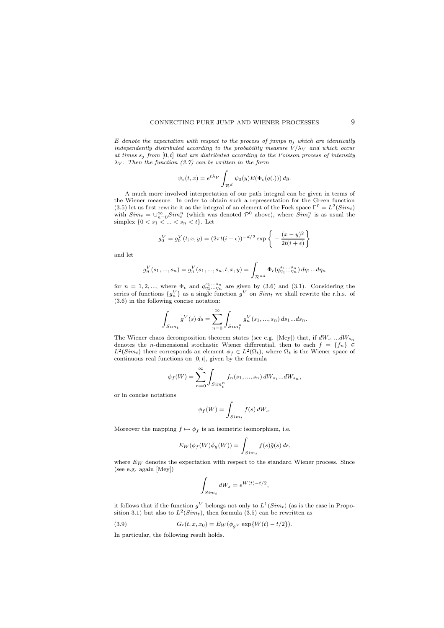E denote the expectation with respect to the process of jumps  $\eta_j$  which are identically independently distributed according to the probability measure  $V/\lambda_V$  and which occur at times  $s_j$  from  $[0,t]$  that are distributed according to the Poisson process of intensity  $\lambda_V$ . Then the function (3.7) can be written in the form

$$
\psi_{\epsilon}(t,x) = e^{t\lambda_V} \int_{\mathcal{R}^d} \psi_0(y) E(\Phi_{\epsilon}(q(.))) dy.
$$

A much more involved interpretation of our path integral can be given in terms of the Wiener measure. In order to obtain such a representation for the Green function (3.5) let us first rewrite it as the integral of an element of the Fock space  $\Gamma^0 = L^2(Sim_t)$ with  $Sim_t = \bigcup_{n=0}^{\infty} Sim_t^n$  (which was denoted  $\mathcal{P}^0$  above), where  $Sim_t^n$  is as usual the simplex  $\{0 < s_1 < ... < s_n < t\}$ . Let

$$
g_0^V = g_0^V(t; x, y) = (2\pi t(i + \epsilon))^{-d/2} \exp \left\{-\frac{(x - y)^2}{2t(i + \epsilon)}\right\}
$$

and let

$$
g_n^V(s_1, ..., s_n) = g_n^V(s_1, ..., s_n; t; x, y) = \int_{\mathcal{R}^{nd}} \Phi_{\epsilon}(q_{\eta_1... \eta_n}^{s_1...s_n}) d\eta_1... d\eta_n
$$

for  $n = 1, 2, \dots$ , where  $\Phi_{\epsilon}$  and  $q_{\eta_1 \dots \eta_n}^{s_1 \dots s_n}$  are given by (3.6) and (3.1). Considering the series of functions  $\{g_n^V\}$  as a single function  $g^V$  on  $Sim_t$  we shall rewrite the r.h.s. of (3.6) in the following concise notation:

$$
\int_{Sim_t} g^V(s) ds = \sum_{n=0}^{\infty} \int_{Sim_t^n} g_n^V(s_1, ..., s_n) ds_1...ds_n.
$$

The Wiener chaos decomposition theorem states (see e.g. [Mey]) that, if  $dW_{s_1}...dW_{s_n}$ denotes the *n*-dimensional stochastic Wiener differential, then to each  $f = \{f_n\}$  $L^2(Sim_t)$  there corresponds an element  $\phi_f \in L^2(\Omega_t)$ , where  $\Omega_t$  is the Wiener space of continuous real functions on  $[0, t]$ , given by the formula

$$
\phi_f(W) = \sum_{n=0}^{\infty} \int_{Sim_t^n} f_n(s_1, ..., s_n) dW_{s_1}...dW_{s_n},
$$

or in concise notations

$$
\phi_f(W) = \int_{Sim_t} f(s) dW_s.
$$

Moreover the mapping  $f \mapsto \phi_f$  is an isometric isomorphism, i.e.

$$
E_W(\phi_f(W)\overline{\phi}_g(W)) = \int_{Sim_t} f(s)\overline{g}(s) ds,
$$

where  $E_W$  denotes the expectation with respect to the standard Wiener process. Since (see e.g. again [Mey])

$$
\int_{Sim_t} dW_s = e^{W(t) - t/2},
$$

it follows that if the function  $g^V$  belongs not only to  $L^1(Sim_t)$  (as is the case in Proposition 3.1) but also to  $L^2(Sim_t)$ , then formula (3.5) can be rewritten as

(3.9) 
$$
G_{\epsilon}(t, x, x_0) = E_W(\phi_{gV} \exp\{W(t) - t/2\}).
$$

In particular, the following result holds.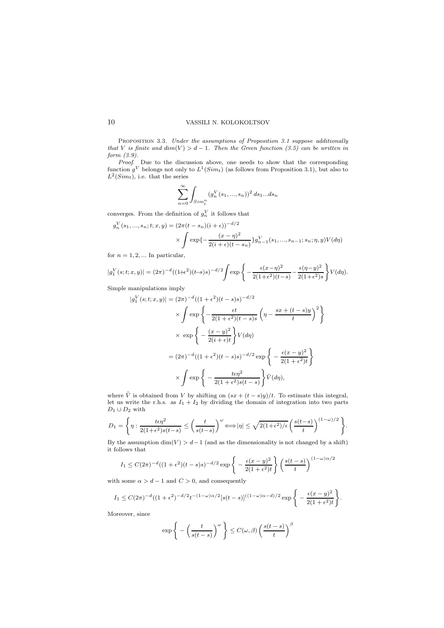PROPOSITION 3.3. Under the assumptions of Proposition 3.1 suppose additionally that V is finite and  $dim(V) > d - 1$ . Then the Green function (3.5) can be written in form (3.9).

Proof. Due to the discussion above, one needs to show that the corresponding function  $g^V$  belongs not only to  $L^1(Sim_t)$  (as follows from Proposition 3.1), but also to  $L^2(Sim_t)$ , i.e. that the series

$$
\sum_{n=0}^{\infty} \int_{Sim_t^n} (g_n^V(s_1, ..., s_n))^2 ds_1...ds_n
$$

converges. From the definition of  $g_n^V$  it follows that

$$
g_n^V(s_1, ..., s_n; t; x, y) = (2\pi(t - s_n)(i + \epsilon))^{-d/2}
$$

$$
\times \int \exp\{-\frac{(x - \eta)^2}{2(i + \epsilon)(t - s_n)}\}g_{n-1}^V(s_1, ..., s_{n-1}; s_n; \eta, y)V(d\eta)
$$

for  $n = 1, 2, \dots$  In particular,

$$
|g_1^V(s;t;x,y)| = (2\pi)^{-d}((1+\epsilon^2)(t-s)s)^{-d/2} \int \exp\left\{-\frac{\epsilon(x-\eta)^2}{2(1+\epsilon^2)(t-s)} - \frac{\epsilon(\eta-y)^2}{2(1+\epsilon^2)s}\right\} V(d\eta).
$$

Simple manipulations imply

$$
|g_1^V(s;t;x,y)| = (2\pi)^{-d}((1+\epsilon^2)(t-s)s)^{-d/2}
$$

$$
\times \int \exp\left\{-\frac{\epsilon t}{2(1+\epsilon^2)(t-s)s}\left(\eta - \frac{sx + (t-s)y}{t}\right)^2\right\}
$$

$$
\times \exp\left\{-\frac{(x-y)^2}{2(i+\epsilon)t}\right\}V(d\eta)
$$

$$
= (2\pi)^{-d}((1+\epsilon^2)(t-s)s)^{-d/2}\exp\left\{-\frac{\epsilon(x-y)^2}{2(1+\epsilon^2)t}\right\}
$$

$$
\times \int \exp\left\{-\frac{t\epsilon\eta^2}{2(1+\epsilon^2)s(t-s)}\right\}\tilde{V}(d\eta),
$$

where  $\tilde{V}$  is obtained from V by shifting on  $(sx + (t - s)y)/t$ . To estimate this integral, let us write the r.h.s. as  $I_1 + I_2$  by dividing the domain of integration into two parts  $D_1\cup D_2$  with

$$
D_1 = \left\{ \eta : \frac{t\epsilon \eta^2}{2(1+\epsilon^2)s(t-s)} \le \left(\frac{t}{s(t-s)}\right)^{\omega} \Longleftrightarrow |\eta| \le \sqrt{2(1+\epsilon^2)/\epsilon} \left(\frac{s(t-s)}{t}\right)^{(1-\omega)/2} \right\}
$$

.

By the assumption  $\dim(V) > d-1$  (and as the dimensionality is not changed by a shift) it follows that

$$
I_1 \leq C(2\pi)^{-d}((1+\epsilon^2)(t-s)s)^{-d/2} \exp\left\{-\frac{\epsilon(x-y)^2}{2(1+\epsilon^2)t}\right\} \left(\frac{s(t-s)}{t}\right)^{(1-\omega)\alpha/2}
$$

with some  $\alpha > d - 1$  and  $C > 0$ , and consequently

$$
I_1 \leq C(2\pi)^{-d}((1+\epsilon^2)^{-d/2}t^{-(1-\omega)\alpha/2}[s(t-s)]^{((1-\omega)\alpha-d)/2}\exp\Bigg\{-\frac{\epsilon(x-y)^2}{2(1+\epsilon^2)t}\Bigg\}.
$$

Moreover, since

$$
\exp\bigg\{-\bigg(\frac{t}{s(t-s)}\bigg)^{\omega}\,\bigg\}\leq C(\omega,\beta)\,\bigg(\frac{s(t-s)}{t}\bigg)^{\beta}
$$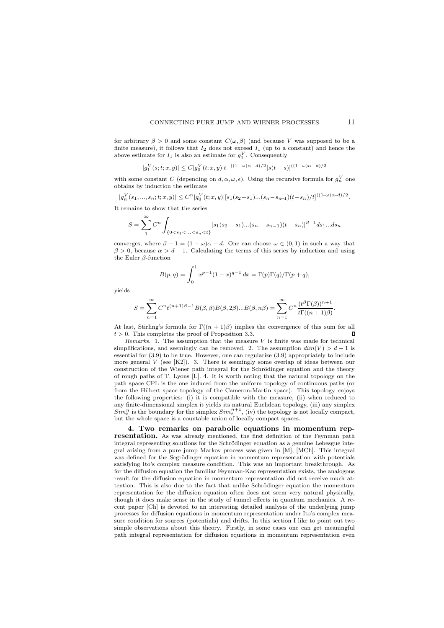for arbitrary  $\beta > 0$  and some constant  $C(\omega, \beta)$  (and because V was supposed to be a finite measure), it follows that  $I_2$  does not exceed  $I_1$  (up to a constant) and hence the above estimate for  $I_1$  is also an estimate for  $g_1^V$ . Consequently

$$
|g^V_1(s;t;x,y)|\leq C|g_0^V(t;x,y)|t^{-((1-\omega)\alpha-d)/2}[s(t-s)]^{((1-\omega)\alpha-d)/2}
$$

with some constant C (depending on  $d, \alpha, \omega, \epsilon$ ). Using the recursive formula for  $g_n^V$  one obtains by induction the estimate

$$
|g_n^V(s_1,...,s_n;t;x,y)| \le C^n |g_0^V(t;x,y)| [s_1(s_2-s_1)...(s_n-s_{n-1})(t-s_n)/t]^{((1-\omega)\alpha-d)/2}.
$$

It remains to show that the series

 $\sim$ 

$$
S = \sum_{1}^{\infty} C^{n} \int_{\{0 < s_{1} < \ldots < s_{n} < t\}} [s_{1}(s_{2} - s_{1}) \ldots (s_{n} - s_{n-1})(t - s_{n})]^{\beta - 1} ds_{1} \ldots ds_{n}
$$

converges, where  $\beta - 1 = (1 - \omega)\alpha - d$ . One can choose  $\omega \in (0, 1)$  in such a way that  $\beta > 0$ , because  $\alpha > d - 1$ . Calculating the terms of this series by induction and using the Euler  $\beta$ -function

$$
B(p,q) = \int_0^1 x^{p-1} (1-x)^{q-1} dx = \Gamma(p) \Gamma(q) / \Gamma(p+q),
$$

yields

$$
S = \sum_{n=1}^{\infty} C^n t^{(n+1)\beta - 1} B(\beta, \beta) B(\beta, 2\beta) \dots B(\beta, n\beta) = \sum_{n=1}^{\infty} C^n \frac{(t^{\beta} \Gamma(\beta))^{n+1}}{t \Gamma((n+1)\beta)}.
$$

At last, Stirling's formula for  $\Gamma((n + 1)\beta)$  implies the convergence of this sum for all  $t > 0$ . This completes the proof of Proposition 3.3. П

Remarks. 1. The assumption that the measure  $V$  is finite was made for technical simplifications, and seemingly can be removed. 2. The assumption  $dim(V) > d - 1$  is essential for (3.9) to be true. However, one can regularize (3.9) appropriately to include more general  $V$  (see  $[K2]$ ). 3. There is seemingly some overlap of ideas between our construction of the Wiener path integral for the Schrödinger equation and the theory of rough paths of T. Lyons [L]. 4. It is worth noting that the natural topology on the path space CPL is the one induced from the uniform topology of continuous paths (or from the Hilbert space topology of the Cameron-Martin space). This topology enjoys the following properties: (i) it is compatible with the measure, (ii) when reduced to any finite-dimensional simplex it yields its natural Euclidean topology, (iii) any simplex  $Sim_t^n$  is the boundary for the simplex  $Sim_t^{n+1}$ , (iv) the topology is not locally compact, but the whole space is a countable union of locally compact spaces.

4. Two remarks on parabolic equations in momentum representation. As was already mentioned, the first definition of the Feynman path integral representing solutions for the Schrödinger equation as a genuine Lebesgue integral arising from a pure jump Markov process was given in [M], [MCh]. This integral was defined for the Scgrödinger equation in momentum representation with potentials satisfying Ito's complex measure condition. This was an important breakthrough. As for the diffusion equation the familiar Feynman-Kac representation exists, the analogous result for the diffusion equation in momentum representation did not receive much attention. This is also due to the fact that unlike Schrödinger equation the momentum representation for the diffusion equation often does not seem very natural physically, though it does make sense in the study of tunnel effects in quantum mechanics. A recent paper [Ch] is devoted to an interesting detailed analysis of the underlying jump processes for diffusion equations in momentum representation under Ito's complex measure condition for sources (potentials) and drifts. In this section I like to point out two simple observations about this theory. Firstly, in some cases one can get meaningful path integral representation for diffusion equations in momentum representation even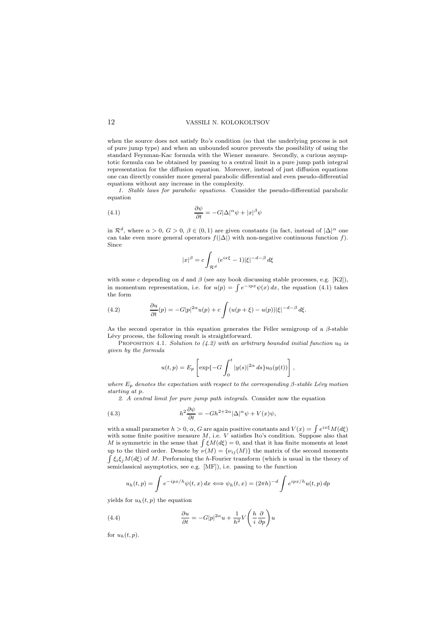when the source does not satisfy Ito's condition (so that the underlying process is not of pure jump type) and when an unbounded source prevents the possibility of using the standard Feynman-Kac formula with the Wiener measure. Secondly, a curious asymptotic formula can be obtained by passing to a central limit in a pure jump path integral representation for the diffusion equation. Moreover, instead of just diffusion equations one can directly consider more general parabolic differential and even pseudo-differential equations without any increase in the complexity.

1. Stable laws for parabolic equations. Consider the pseudo-differential parabolic equation

(4.1) 
$$
\frac{\partial \psi}{\partial t} = -G|\Delta|^{\alpha} \psi + |x|^{\beta} \psi
$$

in  $\mathcal{R}^d$ , where  $\alpha > 0$ ,  $G > 0$ ,  $\beta \in (0,1)$  are given constants (in fact, instead of  $|\Delta|^{\alpha}$  one can take even more general operators  $f(|\Delta|)$  with non-negative continuous function f). Since

$$
|x|^{\beta} = c \int_{\mathcal{R}^d} (e^{ix\xi} - 1)|\xi|^{-d-\beta} d\xi
$$

with some c depending on d and  $\beta$  (see any book discussing stable processes, e.g. [K2]), in momentum representation, i.e. for  $u(p) = \int e^{-ipx} \psi(x) dx$ , the equation (4.1) takes the form

(4.2) 
$$
\frac{\partial u}{\partial t}(p) = -G|p|^{2\alpha}u(p) + c \int (u(p+\xi) - u(p))|\xi|^{-d-\beta} d\xi.
$$

As the second operator in this equation generates the Feller semigroup of a  $\beta$ -stable Lévy process, the following result is straightforward.

PROPOSITION 4.1. Solution to  $(4.2)$  with an arbitrary bounded initial function  $u_0$  is given by the formula

$$
u(t,p) = E_p \left[ \exp\{-G \int_0^t |y(s)|^{2\alpha} ds\} u_0(y(t)) \right],
$$

where  $E_p$  denotes the expectation with respect to the corresponding  $\beta$ -stable Lévy motion starting at p.

2. A central limit for pure jump path integrals. Consider now the equation

(4.3) 
$$
h^2 \frac{\partial \psi}{\partial t} = -Gh^{2+2\alpha} |\Delta|^\alpha \psi + V(x)\psi,
$$

with a small parameter  $h > 0$ ,  $\alpha$ ,  $G$  are again positive constants and  $V(x) = \int e^{ix\xi} M(d\xi)$ with some finite positive measure  $M$ , i.e.  $V$  satisfies Ito's condition. Suppose also that M is symmetric in the sense that  $\int \xi M(d\xi) = 0$ , and that it has finite moments at least up to the third order. Denote by  $\nu(M) = {\nu_{ij}(M)}$  the matrix of the second moments  $\int \xi_i \xi_j M(d\xi)$  of M. Performing the h-Fourier transform (which is usual in the theory of semiclassical asymptotics, see e.g. [MF]), i.e. passing to the function

$$
u_h(t,p) = \int e^{-ipx/h} \psi(t,x) dx \Longleftrightarrow \psi_h(t,x) = (2\pi h)^{-d} \int e^{ipx/h} u(t,p) dp
$$

yields for  $u_h(t, p)$  the equation

(4.4) 
$$
\frac{\partial u}{\partial t} = -G|p|^{2\alpha}u + \frac{1}{h^2}V\left(\frac{h}{i}\frac{\partial}{\partial p}\right)u
$$

for  $u_h(t, p)$ .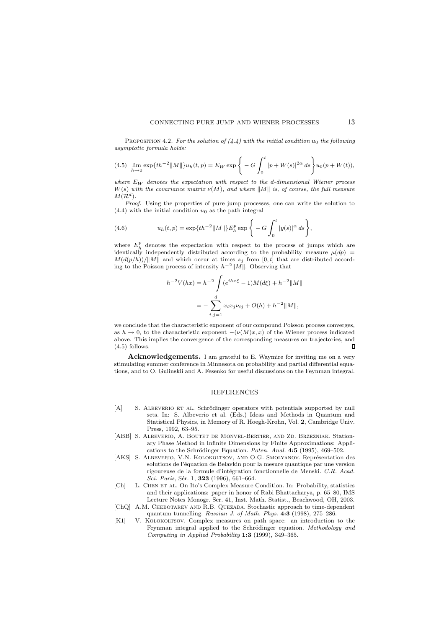PROPOSITION 4.2. For the solution of  $(4.4)$  with the initial condition  $u_0$  the following asymptotic formula holds:

(4.5) 
$$
\lim_{h \to 0} \exp\{th^{-2} \|M\| \} u_h(t, p) = E_W \exp\left\{-G \int_0^t |p + W(s)|^{2\alpha} ds\right\} u_0(p + W(t)),
$$

where  $E_W$  denotes the expectation with respect to the d-dimensional Wiener process  $W(s)$  with the covariance matrix  $\nu(M)$ , and where  $||M||$  is, of course, the full measure  $M(\mathcal{R}^d)$ .

Proof. Using the properties of pure jump processes, one can write the solution to  $(4.4)$  with the initial condition  $u_0$  as the path integral

(4.6) 
$$
u_h(t,p) = \exp\{th^{-2}||M||\}E_h^p \exp\left\{-G \int_0^t |y(s)|^\alpha ds\right\},
$$

where  $E_h^p$  denotes the expectation with respect to the process of jumps which are identically independently distributed according to the probability measure  $\mu(dp)$  =  $M(d(p/h))/\|M\|$  and which occur at times  $s_j$  from  $[0,t]$  that are distributed according to the Poisson process of intensity  $h^{-2}||M||$ . Observing that

$$
h^{-2}V(hx) = h^{-2} \int (e^{ihx\xi} - 1)M(d\xi) + h^{-2}||M||
$$
  
= 
$$
-\sum_{i,j=1}^d x_i x_j \nu_{ij} + O(h) + h^{-2}||M||,
$$

we conclude that the characteristic exponent of our compound Poisson process converges, as  $h \to 0$ , to the characteristic exponent  $-(\nu(M)x, x)$  of the Wiener process indicated above. This implies the convergence of the corresponding measures on trajectories, and  $(4.5)$  follows.  $\mathbf{\mathsf{u}}$ 

Acknowledgements. I am grateful to E. Waymire for inviting me on a very stimulating summer conference in Minnesota on probability and partial differential equations, and to O. Gulinskii and A. Fesenko for useful discussions on the Feynman integral.

#### REFERENCES

- [A] S. ALBEVERIO ET AL. Schrödinger operators with potentials supported by null sets. In: S. Albeverio et al. (Eds.) Ideas and Methods in Quantum and Statistical Physics, in Memory of R. Hoegh-Krohn, Vol. 2, Cambridge Univ. Press, 1992, 63–95.
- [ABB] S. ALBEVERIO, A. BOUTET DE MONVEL-BERTIER, AND ZD. BRZEZNIAK. Stationary Phase Method in Infinite Dimensions by Finite Approximations: Applications to the Schrödinger Equation. Poten. Anal. 4:5 (1995), 469–502.
- [AKS] S. ALBEVERIO, V.N. KOLOKOLTSOV, AND O.G. SMOLYANOV. Représentation des solutions de l'équation de Belavkin pour la mesure quantique par une version rigoureuse de la formule d'intégration fonctionnelle de Menski. C.R. Acad. Sci. Paris, Sér. 1, 323 (1996), 661-664.
- [Ch] L. CHEN ET AL. On Ito's Complex Measure Condition. In: Probability, statistics and their applications: paper in honor of Rabi Bhattacharya, p. 65–80, IMS Lecture Notes Monogr. Ser. 41, Inst. Math. Statist., Beachwood, OH, 2003.
- [ChQ] A.M. CHEBOTAREV AND R.B. QUEZADA. Stochastic approach to time-dependent quantum tunnelling. Russian J. of Math. Phys. 4:3 (1998), 275–286.
- [K1] V. Kolokoltsov. Complex measures on path space: an introduction to the Feynman integral applied to the Schrödinger equation. Methodology and Computing in Applied Probability 1:3 (1999), 349–365.